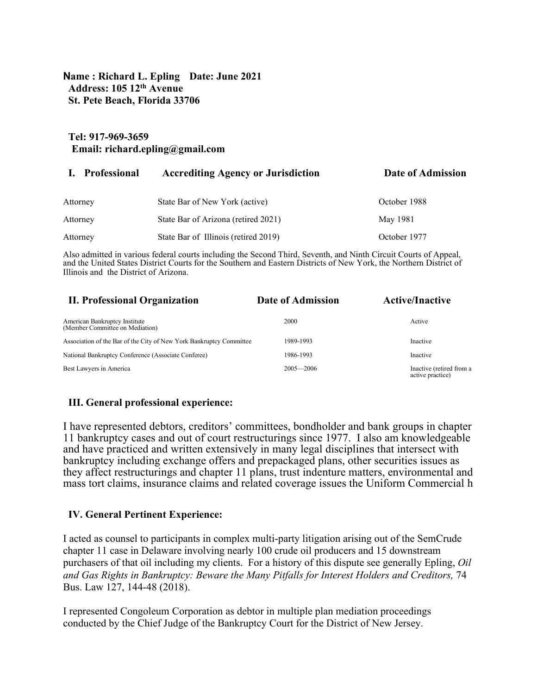### **Name : Richard L. Epling Date: June 2021 Address: 105 12th Avenue St. Pete Beach, Florida 33706**

# **Tel: 917-969-3659 Email: richard.epling@gmail.com**

| <b>Professional</b> | <b>Accrediting Agency or Jurisdiction</b> | Date of Admission |
|---------------------|-------------------------------------------|-------------------|
| Attorney            | State Bar of New York (active)            | October 1988      |
| Attorney            | State Bar of Arizona (retired 2021)       | May 1981          |
| Attorney            | State Bar of Illinois (retired 2019)      | October 1977      |

Also admitted in various federal courts including the Second Third, Seventh, and Ninth Circuit Courts of Appeal, and the United States District Courts for the Southern and Eastern Districts of New York, the Northern District of Illinois and the District of Arizona.

| <b>II. Professional Organization</b>                                | Date of Admission | <b>Active/Inactive</b>                       |
|---------------------------------------------------------------------|-------------------|----------------------------------------------|
| American Bankruptcy Institute<br>(Member Committee on Mediation)    | 2000              | Active                                       |
| Association of the Bar of the City of New York Bankruptcy Committee | 1989-1993         | Inactive                                     |
| National Bankruptcy Conference (Associate Conferee)                 | 1986-1993         | Inactive                                     |
| Best Lawyers in America                                             | $2005 - 2006$     | Inactive (retired from a<br>active practice) |

#### **III. General professional experience:**

I have represented debtors, creditors' committees, bondholder and bank groups in chapter 11 bankruptcy cases and out of court restructurings since 1977. I also am knowledgeable and have practiced and written extensively in many legal disciplines that intersect with bankruptcy including exchange offers and prepackaged plans, other securities issues as they affect restructurings and chapter 11 plans, trust indenture matters, environmental and mass tort claims, insurance claims and related coverage issues the Uniform Commercial h

#### **IV. General Pertinent Experience:**

I acted as counsel to participants in complex multi-party litigation arising out of the SemCrude chapter 11 case in Delaware involving nearly 100 crude oil producers and 15 downstream purchasers of that oil including my clients. For a history of this dispute see generally Epling, *Oil*  and Gas Rights in Bankruptcy: Beware the Many Pitfalls for Interest Holders and Creditors, 74 Bus. Law 127, 144-48 (2018).

I represented Congoleum Corporation as debtor in multiple plan mediation proceedings conducted by the Chief Judge of the Bankruptcy Court for the District of New Jersey.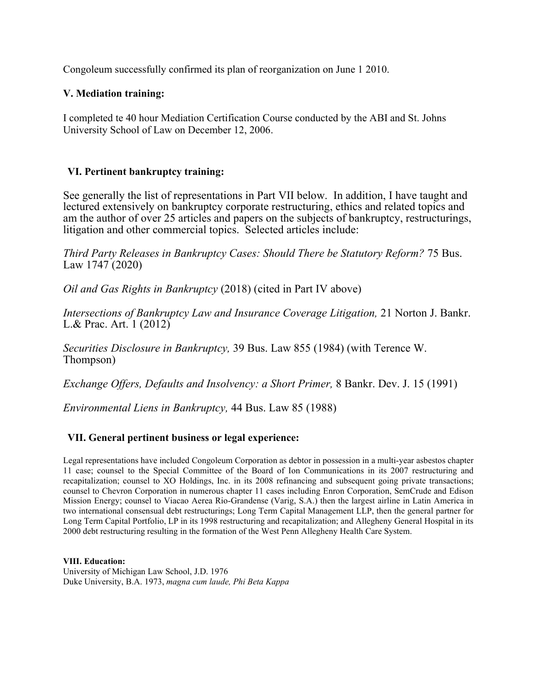Congoleum successfully confirmed its plan of reorganization on June 1 2010.

### **V. Mediation training:**

I completed te 40 hour Mediation Certification Course conducted by the ABI and St. Johns University School of Law on December 12, 2006.

## **VI. Pertinent bankruptcy training:**

See generally the list of representations in Part VII below. In addition, I have taught and lectured extensively on bankruptcy corporate restructuring, ethics and related topics and am the author of over 25 articles and papers on the subjects of bankruptcy, restructurings, litigation and other commercial topics. Selected articles include:

*Third Party Releases in Bankruptcy Cases: Should There be Statutory Reform?* 75 Bus. Law 1747 (2020)

*Oil and Gas Rights in Bankruptcy* (2018) (cited in Part IV above)

*Intersections of Bankruptcy Law and Insurance Coverage Litigation,* 21 Norton J. Bankr. L.& Prac. Art. 1 (2012)

*Securities Disclosure in Bankruptcy,* 39 Bus. Law 855 (1984) (with Terence W. Thompson)

*Exchange Offers, Defaults and Insolvency: a Short Primer,* 8 Bankr. Dev. J. 15 (1991)

*Environmental Liens in Bankruptcy,* 44 Bus. Law 85 (1988)

## **VII. General pertinent business or legal experience:**

Legal representations have included Congoleum Corporation as debtor in possession in a multi-year asbestos chapter 11 case; counsel to the Special Committee of the Board of Ion Communications in its 2007 restructuring and recapitalization; counsel to XO Holdings, Inc. in its 2008 refinancing and subsequent going private transactions; counsel to Chevron Corporation in numerous chapter 11 cases including Enron Corporation, SemCrude and Edison Mission Energy; counsel to Viacao Aerea Rio-Grandense (Varig, S.A.) then the largest airline in Latin America in two international consensual debt restructurings; Long Term Capital Management LLP, then the general partner for Long Term Capital Portfolio, LP in its 1998 restructuring and recapitalization; and Allegheny General Hospital in its 2000 debt restructuring resulting in the formation of the West Penn Allegheny Health Care System.

**VIII. Education:** University of Michigan Law School, J.D. 1976 Duke University, B.A. 1973, *magna cum laude, Phi Beta Kappa*